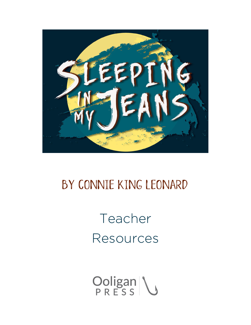

### by Connie King Leonard

# Teacher Resources

Ooligan \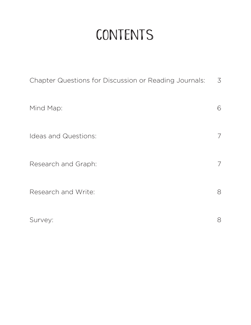# **CONTENTS**

| Chapter Questions for Discussion or Reading Journals: | $\overline{3}$ |
|-------------------------------------------------------|----------------|
| Mind Map:                                             | 6              |
| Ideas and Questions:                                  | 7              |
| Research and Graph:                                   | 7              |
| Research and Write:                                   | 8              |
| Survey:                                               | 8              |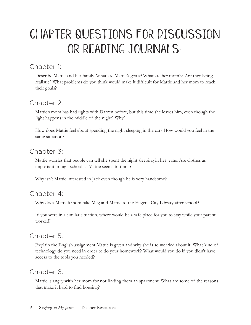## Chapter Questions for Discussion or Reading Journals:

#### Chapter 1:

Describe Mattie and her family. What are Mattie's goals? What are her mom's? Are they being realistic? What problems do you think would make it difficult for Mattie and her mom to reach their goals?

### Chapter 2:

Mattie's mom has had fights with Darren before, but this time she leaves him, even though the fight happens in the middle of the night? Why?

How does Mattie feel about spending the night sleeping in the car? How would you feel in the same situation?

### Chapter 3:

Mattie worries that people can tell she spent the night sleeping in her jeans. Are clothes as important in high school as Mattie seems to think?

Why isn't Mattie interested in Jack even though he is very handsome?

#### Chapter 4:

Why does Mattie's mom take Meg and Mattie to the Eugene City Library after school?

If you were in a similar situation, where would be a safe place for you to stay while your parent worked?

### Chapter 5:

Explain the English assignment Mattie is given and why she is so worried about it. What kind of technology do you need in order to do your homework? What would you do if you didn't have access to the tools you needed?

### Chapter 6:

Mattie is angry with her mom for not finding them an apartment. What are some of the reasons that make it hard to find housing?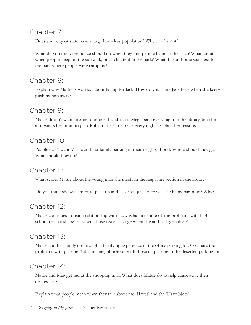#### Chapter 7:

Does your city or state have a large homeless population? Why or why not?

What do you think the police should do when they find people living in their car? What about when people sleep on the sidewalk, or pitch a tent in the park? What if your home was next to the park where people were camping?

#### Chapter 8:

Explain why Mattie is worried about falling for Jack. How do you think Jack feels when she keeps pushing him away?

#### Chapter 9:

Mattie doesn't want anyone to notice that she and Meg spend every night in the library, but she also wants her mom to park Ruby in the same place every night. Explain her reasons.

#### Chapter 10:

People don't want Mattie and her family parking in their neighborhood. Where should they go? What should they do?

#### Chapter 11:

What scares Mattie about the young man she meets in the magazine section in the library?

Do you think she was smart to pack up and leave so quickly, or was she being paranoid? Why?

#### Chapter 12:

Mattie continues to fear a relationship with Jack. What are some of the problems with high school relationships? How will those issues change when she and Jack get older?

#### Chapter 13:

Mattie and her family go through a terrifying experience in the office parking lot. Compare the problems with parking Ruby in a neighborhood with those of parking in the deserted parking lot.

#### Chapter 14:

Mattie and Meg get sad at the shopping mall. What does Mattie do to help chase away their depression?

Explain what people mean when they talk about the 'Haves' and the 'Have Nots.'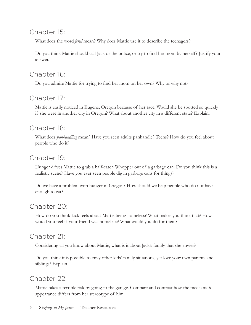#### Chapter 15:

What does the word *feral* mean? Why does Mattie use it to describe the teenagers?

Do you think Mattie should call Jack or the police, or try to find her mom by herself? Justify your answer.

#### Chapter 16:

Do you admire Mattie for trying to find her mom on her own? Why or why not?

#### Chapter 17:

Mattie is easily noticed in Eugene, Oregon because of her race. Would she be spotted so quickly if she were in another city in Oregon? What about another city in a different state? Explain.

#### Chapter 18:

What does *panhandling* mean? Have you seen adults panhandle? Teens? How do you feel about people who do it?

#### Chapter 19:

Hunger drives Mattie to grab a half-eaten Whopper out of a garbage can. Do you think this is a realistic scene? Have you ever seen people dig in garbage cans for things?

Do we have a problem with hunger in Oregon? How should we help people who do not have enough to eat?

#### Chapter 20:

How do you think Jack feels about Mattie being homeless? What makes you think that? How would you feel if your friend was homeless? What would you do for them?

#### Chapter 21:

Considering all you know about Mattie, what is it about Jack's family that she envies?

Do you think it is possible to envy other kids' family situations, yet love your own parents and siblings? Explain.

#### Chapter 22:

Mattie takes a terrible risk by going to the garage. Compare and contrast how the mechanic's appearance differs from her stereotype of him.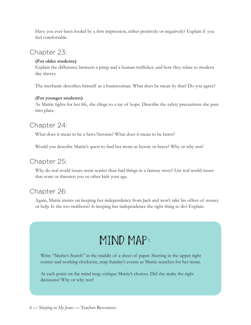Have you ever been fooled by a first impression, either positively or negatively? Explain if you feel comfortable.

#### Chapter 23:

#### **(For older students)**

Explain the difference between a pimp and a human trafficker, and how they relate to modern day slavery.

The mechanic describes himself as a businessman. What does he mean by that? Do you agree?

#### **(For younger students)**

As Mattie fights for her life, she clings to a ray of hope. Describe the safety precautions she puts into place.

#### Chapter 24:

What does it mean to be a hero/heroine? What does it mean to be brave?

Would you describe Mattie's quest to find her mom as heroic or brave? Why or why not?

#### Chapter 25:

Why do real world issues seem scarier than bad things in a fantasy story? List real world issues that scare or threaten you or other kids your age.

#### Chapter 26:

Again, Mattie insists on keeping her independence from Jack and won't take his offers of money or help. Is she too stubborn? Is keeping her independence the right thing to do? Explain.

### Mind Map:

Write "Mattie's Search" in the middle of a sheet of paper. Starting in the upper right corner and working clockwise, map Sunday's events as Mattie searches for her mom.

At each point on the mind map, critique Mattie's choices. Did she make the right decisions? Why or why not?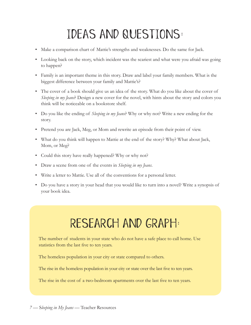# Ideas and Questions:

- Make a comparison chart of Mattie's strengths and weaknesses. Do the same for Jack.
- Looking back on the story, which incident was the scariest and what were you afraid was going to happen?
- Family is an important theme in this story. Draw and label your family members. What is the biggest difference between your family and Mattie's?
- The cover of a book should give us an idea of the story. What do you like about the cover of *Sleeping in my Jeans*? Design a new cover for the novel, with hints about the story and colors you think will be noticeable on a bookstore shelf.
- Do you like the ending of *Sleeping in my Jeans*? Why or why not? Write a new ending for the story.
- Pretend you are Jack, Meg, or Mom and rewrite an episode from their point of view.
- What do you think will happen to Mattie at the end of the story? Why? What about Jack, Mom, or Meg?
- Could this story have really happened? Why or why not?
- Draw a scene from one of the events in *Sleeping in my Jeans*.
- Write a letter to Mattie. Use all of the conventions for a personal letter.
- Do you have a story in your head that you would like to turn into a novel? Write a synopsis of your book idea.

## Research and Graph:

The number of students in your state who do not have a safe place to call home. Use statistics from the last five to ten years.

The homeless population in your city or state compared to others.

The rise in the homeless population in your city or state over the last five to ten years.

The rise in the cost of a two-bedroom apartments over the last five to ten years.